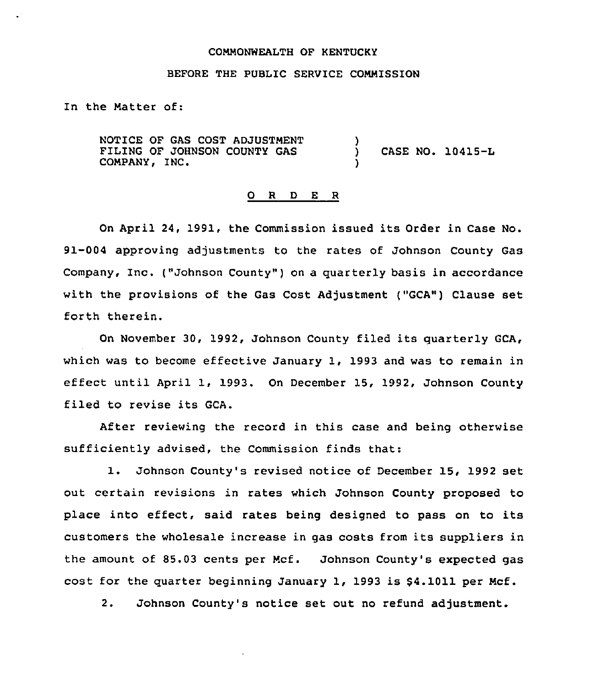#### COMMONWEALTH OF KENTUCKY

### BEFORE THE PUBLIC SERVICE COMMISSION

In the Natter of:

NOTICE OF GAS COST ADJUSTMENT FILING OF JOHNSON COUNTY GAS COMPANY, INC. ) ) CASE NO. 10415-L )

#### 0 <sup>R</sup> <sup>D</sup> <sup>E</sup> <sup>R</sup>

On April 24, 1991, the Commission issued its Order in Case No. 91-004 approving adjustments to the rates of Johnson County Gas Company, Inc. ("Johnson County" ) on <sup>a</sup> quarterly basis in accordance with the provisions of the Gas Cost Adjustment ("GCA") Clause set forth therein.

On November 30, 1992, Johnson County filed its quarterly GCA, which was to become effective January 1, 1993 and was to remain in effect until April 1, 1993. On December 15, 1992, Johnson County filed to revise its GCA.

After reviewing the record in this case and being otherwise sufficiently advised, the Commission finds that:

1. Johnson County's revised notice of December 15, 1992 set out certain revisions in rates which Johnson County proposed to place into effect, said rates being designed to pass on to its customers the wholesale increase in gas costs from its suppliers in the amount of 85.03 cents per Ncf. Johnson County's expected gas cost for the quarter beginning January 1, 1993 is \$4.1011 per Ncf.

2. Johnson County's notice set out no refund adjustment.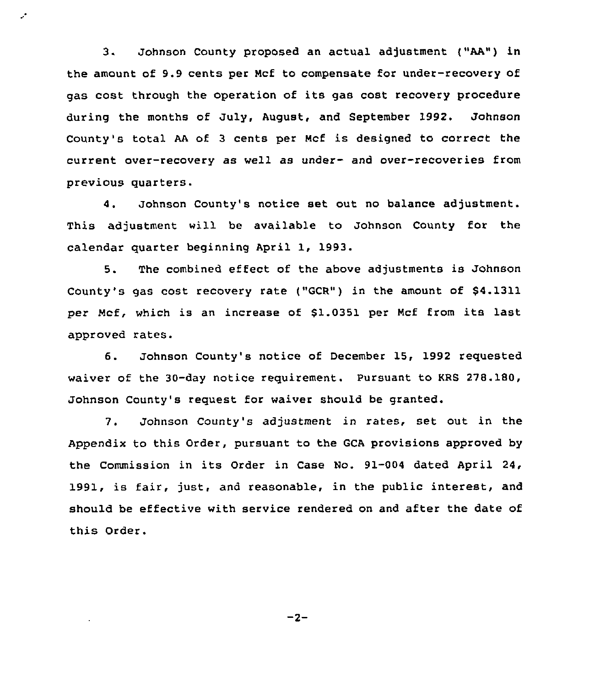3. Johnson County proposed an actual adjustment ("AA") in the amount of 9.9 cents per Mcf to compensate for under-recovery of gas cost through the operation of its gas cost recovery procedure during the months of July, August, and September 1992. Johnson County's total AA of <sup>3</sup> cents per Mcf is designed to correct the current over-recovery as well as under- and over-recoveries from previous quarters.

من

4. Johnson County's notice set out no balance adjustment. This adjustment will be available to Johnson County for the calendar quarter beginning April 1, 1993.

5. The combined effect of the above adjustments is Johnson County's gas cost recovery rate ("GCR") in the amount of  $$4.1311$ per Mcf, which is an increase of \$1.0351 per Mcf from its last approved rates.

6. Johnson County's notice of December 15, 1992 requested waiver of the 30-day notice requirement. Pursuant to KRS 278.180, Johnson County's request for waiver should be granted.

7. Johnson County's adjustment in rates, set out in the Appendix to this Order, pursuant to the GCA provisions approved by the Commission in its Order in Case No. 91-004 dated April 24, 1991, is fair, just, and reasonable, in the public interest, and should be effective with service rendered on and after the date of this Order.

 $-2-$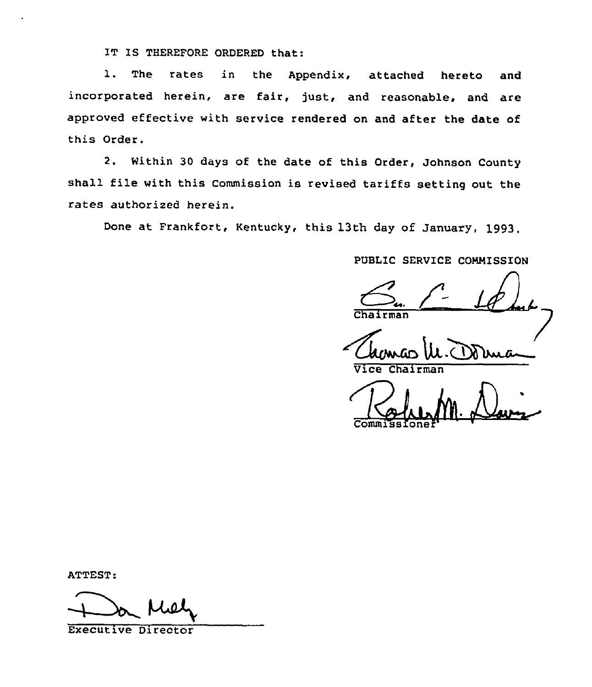IT IS THEREFORE ORDERED that:

1. The rates in the Appendix, attached hereto and incorporated herein, are fair, just, and reasonable, and are approved effective with service rendered on and after the date of this Order.

2. Within 30 days of the date of this Order, Johnson County shall file with this Commission is revised tariffs settinq out the rates authorized herein.

Done at Frankfort, Kentucky, this 13th day of January, 1993.

PUBLIC SERVICE COMMISSION

rman

Vice Chairman

ATTEST:

Executive Director